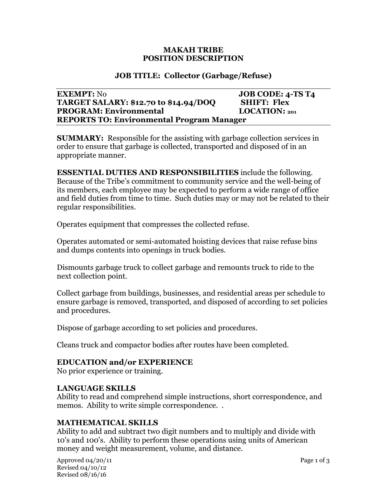#### **MAKAH TRIBE POSITION DESCRIPTION**

## **JOB TITLE: Collector (Garbage/Refuse)**

#### **EXEMPT:** No **JOB CODE:** 4-TS T4 **TARGET SALARY: \$12.70 to \$14.94/DOQ SHIFT: Flex PROGRAM: Environmental LOCATION: <sup>201</sup> REPORTS TO: Environmental Program Manager**

**SUMMARY:** Responsible for the assisting with garbage collection services in order to ensure that garbage is collected, transported and disposed of in an appropriate manner.

**ESSENTIAL DUTIES AND RESPONSIBILITIES** include the following. Because of the Tribe's commitment to community service and the well-being of its members, each employee may be expected to perform a wide range of office and field duties from time to time. Such duties may or may not be related to their regular responsibilities.

Operates equipment that compresses the collected refuse.

Operates automated or semi-automated hoisting devices that raise refuse bins and dumps contents into openings in truck bodies.

Dismounts garbage truck to collect garbage and remounts truck to ride to the next collection point.

Collect garbage from buildings, businesses, and residential areas per schedule to ensure garbage is removed, transported, and disposed of according to set policies and procedures.

Dispose of garbage according to set policies and procedures.

Cleans truck and compactor bodies after routes have been completed.

### **EDUCATION and/or EXPERIENCE**

No prior experience or training.

### **LANGUAGE SKILLS**

Ability to read and comprehend simple instructions, short correspondence, and memos. Ability to write simple correspondence. .

# **MATHEMATICAL SKILLS**

Ability to add and subtract two digit numbers and to multiply and divide with 10's and 100's. Ability to perform these operations using units of American money and weight measurement, volume, and distance.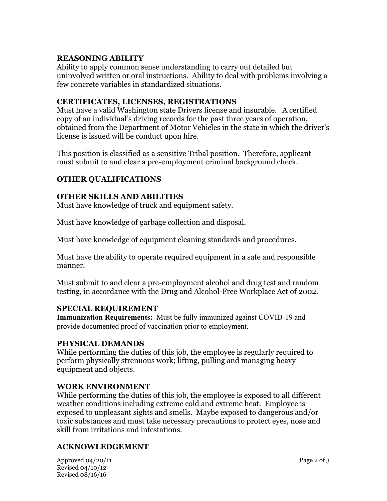## **REASONING ABILITY**

Ability to apply common sense understanding to carry out detailed but uninvolved written or oral instructions. Ability to deal with problems involving a few concrete variables in standardized situations.

## **CERTIFICATES, LICENSES, REGISTRATIONS**

Must have a valid Washington state Drivers license and insurable. A certified copy of an individual's driving records for the past three years of operation, obtained from the Department of Motor Vehicles in the state in which the driver's license is issued will be conduct upon hire.

This position is classified as a sensitive Tribal position. Therefore, applicant must submit to and clear a pre-employment criminal background check.

# **OTHER QUALIFICATIONS**

### **OTHER SKILLS AND ABILITIES**

Must have knowledge of truck and equipment safety.

Must have knowledge of garbage collection and disposal.

Must have knowledge of equipment cleaning standards and procedures.

Must have the ability to operate required equipment in a safe and responsible manner.

Must submit to and clear a pre-employment alcohol and drug test and random testing, in accordance with the Drug and Alcohol-Free Workplace Act of 2002.

### **SPECIAL REQUIREMENT**

**Immunization Requirements:** Must be fully immunized against COVID-19 and provide documented proof of vaccination prior to employment.

### **PHYSICAL DEMANDS**

While performing the duties of this job, the employee is regularly required to perform physically strenuous work; lifting, pulling and managing heavy equipment and objects.

### **WORK ENVIRONMENT**

While performing the duties of this job, the employee is exposed to all different weather conditions including extreme cold and extreme heat. Employee is exposed to unpleasant sights and smells. Maybe exposed to dangerous and/or toxic substances and must take necessary precautions to protect eyes, nose and skill from irritations and infestations.

### **ACKNOWLEDGEMENT**

| Approved 04/20/11 | Page 2 of 3 |
|-------------------|-------------|
| Revised 04/10/12  |             |
| Revised 08/16/16  |             |